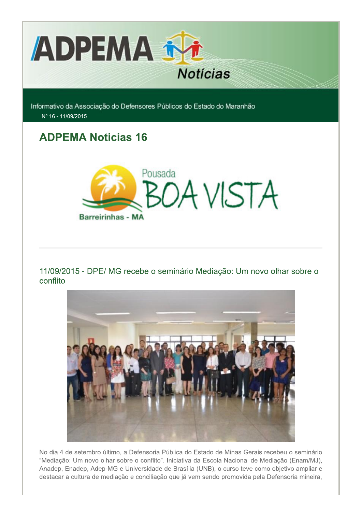

Informativo da Associação do Defensores Públicos do Estado do Maranhão Nº 16 - 11/09/2015

# **ADPEMA Noticias 16**



11/09/2015 - DPE/ MG recebe o seminário Mediação: Um novo olhar sobre o conflito



No dia 4 de setembro último, a Defensoria Pública do Estado de Minas Gerais recebeu o seminário "Mediação: Um novo olhar sobre o conflito". Iniciativa da Escola Nacional de Mediação (Enam/MJ), Anadep, Enadep, Adep-MG e Universidade de Brasília (UNB), o curso teve como objetivo ampliar e destacar a cultura de mediação e conciliação que já vem sendo promovida pela Defensoria mineira,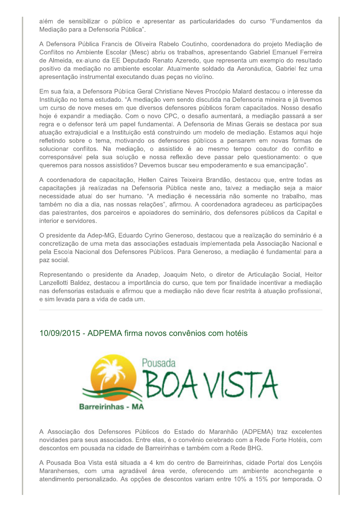além de sensibilizar o público e apresentar as particularidades do curso "Fundamentos da Mediação para a Defensoria Pública".

A Defensora Pública Francis de Oliveira Rabelo Coutinho, coordenadora do projeto Mediacão de Conflitos no Ambiente Escolar (Mesc) abriu os trabalhos, apresentando Gabriel Emanuel Ferreira de Almeida, ex-aluno da EE Deputado Renato Azeredo, que representa um exemplo do resultado positivo da mediação no ambiente escolar. Atualmente soldado da Aeronáutica, Gabriel fez uma apresentação instrumental executando duas peças no violino.

Em sua fala, a Defensora Pública Geral Christiane Neves Procópio Malard destacou o interesse da Instituição no tema estudado. "A mediação vem sendo discutida na Defensoria mineira e já tivemos um curso de nove meses em que diversos defensores públicos foram capacitados. Nosso desafio hoje é expandir a mediação. Com o novo CPC, o desafio aumentará, a mediação passará a ser regra e o defensor terá um papel fundamental. A Defensoria de Minas Gerais se destaca por sua atuação extrajudicial e a Instituição está construindo um modelo de mediação. Estamos aqui hoje refletindo sobre o tema, motivando os defensores públicos a pensarem em novas formas de solucionar conflitos. Na mediação, o assistido é ao mesmo tempo coautor do conflito e corresponsável pela sua solução e nossa reflexão deve passar pelo questionamento: o que queremos para nossos assistidos? Devemos buscar seu empoderamento e sua emancipação".

A coordenadora de capacitação, Hellen Caires Teixeira Brandão, destacou que, entre todas as capacitações já realizadas na Defensoria Pública neste ano, talvez a mediação seja a maior necessidade atual do ser humano. "A mediação é necessária não somente no trabalho, mas também no dia a dia, nas nossas relações", afirmou. A coordenadora agradeceu as participações das palestrantes, dos parceiros e apoiadores do seminário, dos defensores públicos da Capital e interior e servidores.

O presidente da Adep-MG, Eduardo Cyrino Generoso, destacou que a realização do seminário é a concretização de uma meta das associações estaduais implementada pela Associação Nacional e pela Escola Nacional dos Defensores Públicos. Para Generoso, a mediação é fundamental para a paz social.

Representando o presidente da Anadep, Joaquim Neto, o diretor de Articulação Social, Heitor Lanzellotti Baldez, destacou a importância do curso, que tem por finalidade incentivar a mediação nas defensorias estaduais e afirmou que a mediação não deve ficar restrita à atuação profissional, e sim levada para a vida de cada um.

#### 10/09/2015 - ADPEMA firma novos convênios com hotéis



A Associação dos Defensores Públicos do Estado do Maranhão (ADPEMA) traz excelentes novidades para seus associados. Entre elas, é o convênio celebrado com a Rede Forte Hotéis, com descontos em pousada na cidade de Barreirinhas e também com a Rede BHG.

A Pousada Boa Vista está situada a 4 km do centro de Barreirinhas, cidade Portal dos Lençóis Maranhenses, com uma agradável área verde, oferecendo um ambiente aconchegante e atendimento personalizado. As opções de descontos variam entre 10% a 15% por temporada. O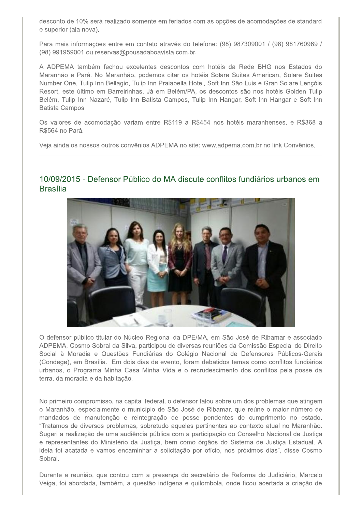desconto de 10% será realizado somente em feriados com as opções de acomodações de standard e superior (ala nova).

Para mais informações entre em contato através do telefone: (98) 987309001 / (98) 981760969 / (98) 991959001 ou reservas@pousadaboavista.com.br.

A ADPEMA também fechou excelentes descontos com hotéis da Rede BHG nos Estados do Maranhão e Pará. No Maranhão, podemos citar os hotéis Solare Suites American, Solare Suites Number One, Tulip Inn Bellagio, Tulip Inn Praiabella Hotel, Soft Inn São Luis e Gran Solare Lençóis Resort, este último em Barreirinhas. Já em Belém/PA, os descontos são nos hotéis Golden Tulip Belém, Tulip Inn Nazaré, Tulip Inn Batista Campos, Tulip Inn Hangar, Soft Inn Hangar e Soft Inn Batista Campos.

Os valores de acomodação variam entre R\$119 a R\$454 nos hotéis maranhenses, e R\$368 a R\$564 no Pará.

Veia ainda os nossos outros convênios ADPEMA no site: www.adpema.com.br no link Convênios.



### 10/09/2015 - Defensor Público do MA discute conflitos fundiários urbanos em **Brasília**

O defensor público titular do Núcleo Regional da DPE/MA, em São José de Ribamar e associado ADPEMA, Cosmo Sobral da Silva, participou de diversas reuniões da Comissão Especial do Direito Social à Moradia e Questões Fundiárias do Colégio Nacional de Defensores Públicos-Gerais (Condege), em Brasília. Em dois dias de evento, foram debatidos temas como conflitos fundiários urbanos, o Programa Minha Casa Minha Vida e o recrudescimento dos conflitos pela posse da terra, da moradia e da habitação.

No primeiro compromisso, na capital federal, o defensor falou sobre um dos problemas que atingem o Maranhão, especialmente o município de São José de Ribamar, que reúne o maior número de mandados de manutenção e reintegração de posse pendentes de cumprimento no estado. "Tratamos de diversos problemas, sobretudo aqueles pertinentes ao contexto atual no Maranhão. Sugeri a realização de uma audiência pública com a participação do Conselho Nacional de Justiça e representantes do Ministério da Justiça, bem como órgãos do Sistema de Justiça Estadual. A ideia foi acatada e vamos encaminhar a solicitação por ofício, nos próximos dias", disse Cosmo Sobral.

Durante a reunião, que contou com a presença do secretário de Reforma do Judiciário, Marcelo Veiga, foi abordada, também, a questão indígena e quilombola, onde ficou acertada a criação de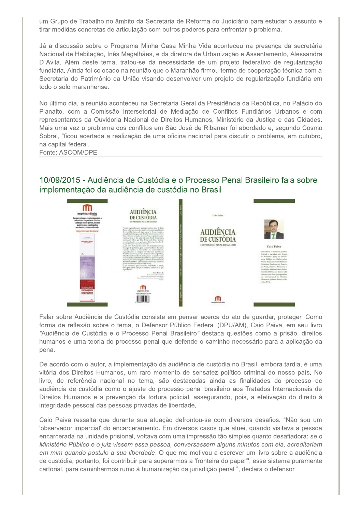um Grupo de Trabalho no âmbito da Secretaria de Reforma do Judiciário para estudar o assunto e tirar medidas concretas de articulação com outros poderes para enfrentar o problema.

Já a discussão sobre o Programa Minha Casa Minha Vida aconteceu na presença da secretária Nacional de Habitação, Inês Magalhães, e da diretora de Urbanização e Assentamento, Alessandra D'Avila. Além deste tema, tratou-se da necessidade de um projeto federativo de regularização fundiária. Ainda foi colocado na reunião que o Maranhão firmou termo de cooperação técnica com a Secretaria do Patrimônio da União visando desenvolver um projeto de regularização fundiária em todo o solo maranhense.

No último dia, a reunião aconteceu na Secretaria Geral da Presidência da República, no Palácio do Planalto, com a Comissão Intersetorial de Mediação de Conflitos Fundiários Urbanos e com representantes da Ouvidoria Nacional de Direitos Humanos, Ministério da Justiça e das Cidades. Mais uma vez o problema dos conflitos em São José de Ribamar foi abordado e, segundo Cosmo Sobral, "ficou acertada a realização de uma oficina nacional para discutir o problema, em outubro, na capital federal.

Fonte: ASCOM/DPE

## 10/09/2015 - Audiência de Custódia e o Processo Penal Brasileiro fala sobre implementação da audiência de custódia no Brasil



Falar sobre Audiência de Custódia consiste em pensar acerca do ato de guardar, proteger. Como forma de reflexão sobre o tema, o Defensor Público Federal (DPU/AM), Caio Paiva, em seu livro "Audiência de Custódia e o Processo Penal Brasileiro" destaca questões como a prisão, direitos humanos e uma teoria do processo penal que defende o caminho necessário para a aplicação da pena.

De acordo com o autor, a implementação da audiência de custódia no Brasil, embora tardia, é uma vitória dos Direitos Humanos, um raro momento de sensatez político criminal do nosso país. No livro, de referência nacional no tema, são destacadas ainda as finalidades do processo de audiência de custódia como o ajuste do processo penal brasileiro aos Tratados Internacionais de Direitos Humanos e a prevenção da tortura policial, assegurando, pois, a efetivação do direito à integridade pessoal das pessoas privadas de liberdade.

Caio Paiva ressalta que durante sua atuação defrontou-se com diversos desafios. "Não sou um 'observador imparcial' do encarceramento. Em diversos casos que atuei, quando visitava a pessoa encarcerada na unidade prisional, voltava com uma impressão tão simples quanto desafiadora: se o Ministério Público e o juiz vissem essa pessoa, conversassem alguns minutos com ela, acreditariam em mim quando postulo a sua liberdade. O que me motivou a escrever um livro sobre a audiência de custódia, portanto, foi contribuir para superarmos a 'fronteira do papel'", esse sistema puramente cartorial, para caminharmos rumo à humanização da jurisdição penal.", declara o defensor.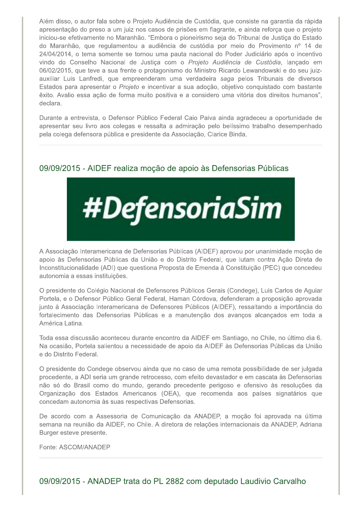Além disso, o autor fala sobre o Projeto Audiência de Custódia, que consiste na garantia da rápida apresentação do preso a um juiz nos casos de prisões em flagrante, e ainda reforça que o projeto iniciou-se efetivamente no Maranhão. "Embora o pioneirismo seja do Tribunal de Justiça do Estado do Maranhão, que regulamentou a audiência de custódia por meio do Provimento nº 14 de 24/04/2014, o tema somente se tornou uma pauta nacional do Poder Judiciário após o incentivo vindo do Conselho Nacional de Justiça com o Projeto Audiência de Custódia, lançado em 06/02/2015, que teve a sua frente o protagonismo do Ministro Ricardo Lewandowski e do seu juizauxiliar Luis Lanfredi, que empreenderam uma verdadeira saga pelos Tribunais de diversos Estados para apresentar o Projeto e incentivar a sua adoção, objetivo conquistado com bastante êxito. Avalio essa ação de forma muito positiva e a considero uma vitória dos direitos humanos", declara.

Durante a entrevista, o Defensor Público Federal Caio Paiva ainda agradeceu a oportunidade de apresentar seu livro aos colegas e ressalta a admiração pelo belíssimo trabalho desempenhado pela colega defensora pública e presidente da Associação, Clarice Binda.

### 09/09/2015 - AIDEF realiza moção de apoio às Defensorias Públicas



A Associação Interamericana de Defensorias Públicas (AIDEF) aprovou por unanimidade moção de apoio às Defensorias Públicas da União e do Distrito Federal, que lutam contra Ação Direta de Inconstitucionalidade (ADI) que questiona Proposta de Emenda à Constituição (PEC) que concedeu autonomia a essas instituições.

O presidente do Colégio Nacional de Defensores Públicos Gerais (Condege), Luis Carlos de Aguiar Portela, e o Defensor Público Geral Federal, Haman Córdova, defenderam a proposição aprovada junto à Associação Interamericana de Defensores Públicos (AIDEF), ressaltando a importância do fortalecimento das Defensorias Públicas e a manutenção dos avanços alcançados em toda a América Latina.

Toda essa discussão aconteceu durante encontro da AIDEF em Santiago, no Chile, no último dia 6. Na ocasião, Portela salientou a necessidade de apoio da AIDEF às Defensorias Públicas da União e do Distrito Federal.

O presidente do Condege observou ainda que no caso de uma remota possibilidade de ser julgada procedente, a ADI seria um grande retrocesso, com efeito devastador e em cascata às Defensorias não só do Brasil como do mundo, gerando precedente perigoso e ofensivo às resoluções da Organização dos Estados Americanos (OEA), que recomenda aos países signatários que concedam autonomia às suas respectivas Defensorias.

De acordo com a Assessoria de Comunicação da ANADEP, a moção foi aprovada na última semana na reunião da AIDEF, no Chile. A diretora de relações internacionais da ANADEP, Adriana Burger esteve presente.

Fonte: ASCOM/ANADEP

09/09/2015 - ANADEP trata do PL 2882 com deputado Laudivio Carvalho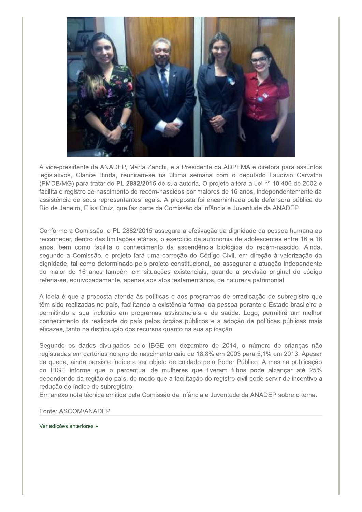

A vice-presidente da ANADEP, Marta Zanchi, e a Presidente da ADPEMA e diretora para assuntos legislativos, Clarice Binda, reuniram-se na última semana com o deputado Laudivio Carvalho (PMDB/MG) para tratar do PL 2882/2015 de sua autoria. O projeto altera a Lei nº 10.406 de 2002 e facilita o registro de nascimento de recém-nascidos por maiores de 16 anos, independentemente da assistência de seus representantes legais. A proposta foi encaminhada pela defensora pública do Rio de Janeiro, Elisa Cruz, que faz parte da Comissão da Infância e Juventude da ANADEP.

Conforme a Comissão, o PL 2882/2015 assegura a efetivação da dignidade da pessoa humana ao reconhecer, dentro das limitações etárias, o exercício da autonomia de adolescentes entre 16 e 18 anos, bem como facilita o conhecimento da ascendência biológica do recém-nascido. Ainda, segundo a Comissão, o projeto fará uma correção do Código Civil, em direção à valorização da dignidade, tal como determinado pelo projeto constitucional, ao assegurar a atuação independente do maior de 16 anos também em situações existenciais, quando a previsão original do código referia-se, equivocadamente, apenas aos atos testamentários, de natureza patrimonial.

A ideia é que a proposta atenda às políticas e aos programas de erradicação de subregistro que têm sido realizadas no país, facilitando a existência formal da pessoa perante o Estado brasileiro e permitindo a sua inclusão em programas assistenciais e de saúde. Logo, permitirá um melhor conhecimento da realidade do país pelos órgãos públicos e a adoção de políticas públicas mais eficazes, tanto na distribuição dos recursos quanto na sua aplicação.

Segundo os dados divulgados pelo IBGE em dezembro de 2014, o número de crianças não registradas em cartórios no ano do nascimento caiu de 18,8% em 2003 para 5,1% em 2013. Apesar da queda, ainda persiste índice a ser objeto de cuidado pelo Poder Público. A mesma publicação do IBGE informa que o percentual de mulheres que tiveram filhos pode alcançar até 25% dependendo da região do país, de modo que a facilitação do registro civil pode servir de incentivo a redução do índice de subregistro.

Em anexo nota técnica emitida pela Comissão da Infância e Juventude da ANADEP sobre o tema.

Fonte: ASCOM/ANADEP

Ver edições anteriores »